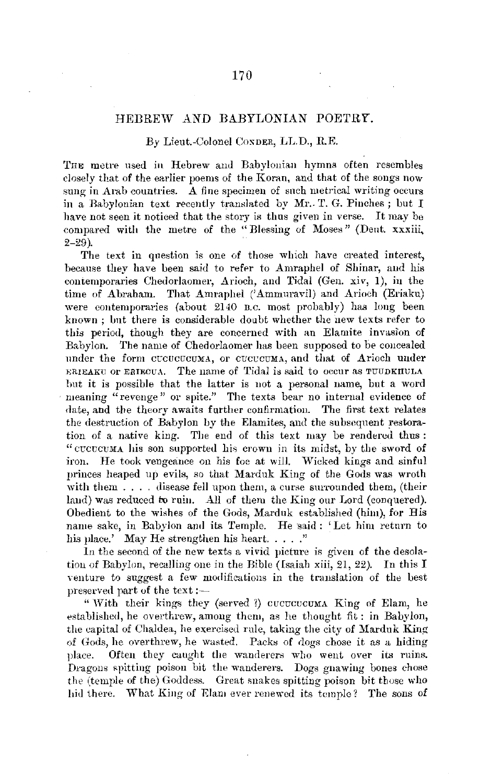## HEBREW AND BABYLONIAN POETRY.

## By Lieut.-Colonel CoxDER, LL.D., RE.

THE metre used in Hebrew and Babylonian hymns often resembles closely that of the earlier poems of the Koran, and that of the songs now sung in Arab countries. A fine specimen of such metrical writing occurs in a Babylonian text recently translated by Mr. T. G. Pinches; but  $I$ have not seen it noticed that the story is thus given in verse. It may be compared with the metre of the "Blessing of Moses" (Dent. xxxiii,  $2 - 29$ ).

The text in question is one of those which have created interest, because they have been said to refer to Amraphel of Shinar, and his contemporaries Chedorlaomer, Arioch, and Tidal (Gen. xiv, 1), in the time of Abraham. That Amraphel ('Ammnravil) and Arioch (Eriaku) were contemporaries (about 2140 n.c. most probably) has long been known ; but there is considerable doubt whether the new texts refer to this period, though they are concerned with an Elamite invasion of Babylon. The name of Chedorlaomer has been supposed to be coucealed under the form cucucucuMA, or cucucuMA, and that of Arioch under ERIEAKU OF ERIECUA. The name of Tidal is said to occur as TUUDKIIULA but it is possible that the latter is not a personal name, but a word meaning "revenge" or spite." The texts bear no internal evidence of date, and the theory awaits further confirmation. The first text relates the destruction of Babylon by the Elarnites, and the subsequent restoration of a native king. The end of this text may be rendered thus : "cccccuMA his son supported his crown in its midst, by the sword of iron. He took vengeance on his foe at will. Wicked kings and sinful princes heaped up evils, so that Marduk King of the Gods was wroth with them  $\ldots$  disease fell upon them, a curse surrounded them, (their land) was reduced to ruin. All of them the King our Lord (conquered). Obedient to the wishes of the Gods, Marduk established (him), for His name sake, in Babylon and its Temple. He said: 'Let him return to his place.' May He strengthen his heart....."

In the second of the new texts a vivid picture is given of the desolation of Babylon, recalling one in the Bible (Isaiah xiii, 21, 22). In this I venture to suggest a few modifications in the translation of the best preserved part of the text: $-$ 

" With their kings they (served ?) cucucucumA King of Elam, he established, he overthrew, among them, as he thought fit: in Babylon, the capital of Chaldea, he exercised rule, taking the city of Marduk King of Gods, he overthrew, he wasted. Packs of dogs chose it as a hiding place. Often they caught the wanderers who went over its ruins. Dragons spitting poison bit the wanderers. Dogs gnawing bones chose the (temple of the) Goddess. Great snakes spitting poison bit those who hid there. What King of Elam ever renewed its temple? The sons of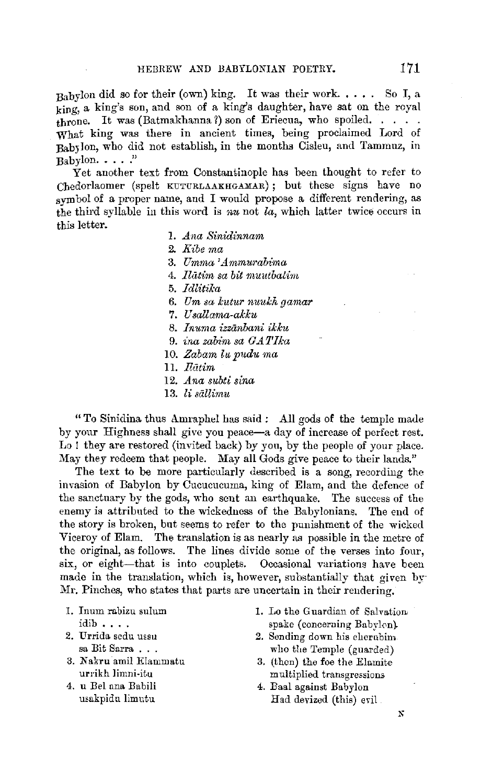$_{\rm{Rahylon}}$  did so for their (own) king. It was their work..... So I, a  $\overline{k}$ ing, a king's son, and son of a king's daughter, have sat on the royal  $t$ hrone. It was (Batmakhanna ?) son of Eriecua, who spoiled. . . . . What king was there in ancient times, being proclaimed Lord of BabJlon, who did not establish, in the months Cisleu, and Tammuz, in  $Bab$ vlon.  $\ldots$  ."

Yet another text from Constantinople has been thought to refer to Chedorlaomer (spelt KUTURLAAKEIGAMAR) ; but these signs have no symbol of a proper name, and I would propose a different rendering, as the third syllable in this word is *nu* not *la,* **which** latter twice occurs in this letter.

- I. *Ana Sinidinnam*
- **2.** *Kibe ma*
- **3.** *llmma 'Ammui·abima*
- 4. *Jlatim sa bit rnuittbatim*
- 5. *Idlitika*
- 6. *Um sa kutur nuukh gamar*
- 7. *U sallama-akku*
- 8. *lnuma izzanbani ikku*
- 9. *ina zabim sa GATika*
- 10. *Zabam lu* p11du *ma*
- 11. *lliitim*
- 12. *Ana subti sina*
- 13. *li siillimu*

"To Sinidina thus Amraphel has said : All gods of the temple made by your Highness shall give you peace-a day of increase of perfect rest. Lo ! they are restored (invited back) by you, by the people of your place. May they redeem that people. May all Gods give peace to their lands."

The text to be more particularly described is a song, recording the invasion of Babylon by Cucucucuma, king of Elam, and the defence of the sanctuary by the gods, who sent an earthquake. The success of the enemy is attributed to the wickedness of the Babylonians. The end of the story is broken, but seems to refer to the punishment of the wicked Viceroy of Elam. The translation is as nearly as possible in the metre of the original, as follows. The lines divide some of the verses into four, six, or eight-that is into couplets. Occasional variations have been made in the translation, which is, however, substantially that given by Mr. Pinches, who states that parts are uncertain in their rendering.

- 1. Inum rabizu sulum idib •...
- 2. Urrida sedu ussu sa Bit Sarra . . .
- 3. N akru amil Elammatu urrikh limni-itu
- 4. u Bel una Babili usakpidu limutu
- 1. Lo the Guardian 0£ Salvation, spake (concerning Babylon).
- 2. Sending down his cherubim who the Temple (guarded)
- 3. (then) the foe the Elamite multiplied transgressions
- 4. Baal against Babylon Had devized (this) evil.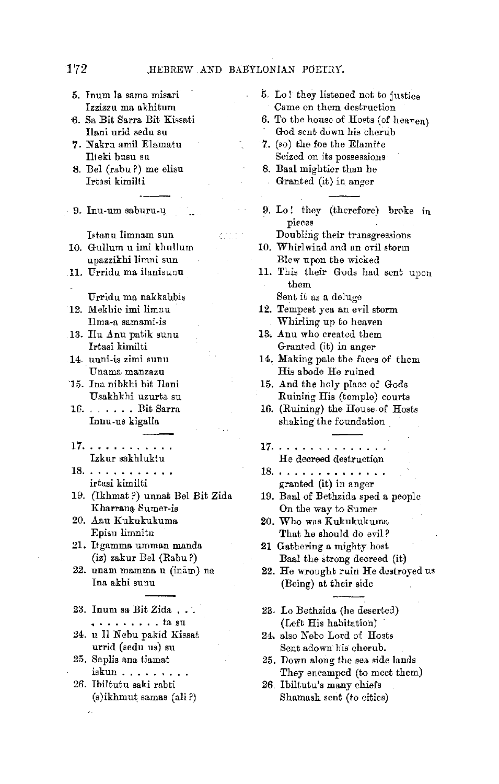- 5. Inum la sama misari Izzizzu ma akhitum 6. Sa Bit Sarra Bit Kissati Ilani urid sedn su 'l. Nakru amil Elamatu Ilteki bnsu su 8. Bel (rabu ?) me elisu Irtasi kimilti 9. Inu-um saburu.-q. Ietanu limnam sun والمحرم upazzikhi limni sun 11. Urridu ma ilanisunu Urridu ma nakkabbis 12. Mekhio imi limnu Ilma-a samami-is 13. Ilu Anu patik sunu Irtasi kimilti 14. unni-is zimi sunu , Unama manzazu 15. Ina nibkhi bit Ilani Usakhkhi uzurta, su 16 ....... Bit Sarra Innu.us kigalla 17. Izkur sakhluktu 18. . . . . . . . . . . . irtasi kimilti 19. (Ikhmat?) unnat Bel Bit Zida Kharrana Sumer-is 20. Aau Kukukukuma Episu limnitu 21. Itgamma umman manda (iz) zakur Bel (Rabu *?)*  22. unam mamma u (inām) na Ina akhi sunu 23. Inum sa Bit Zida . • .... • ... ta SU 24. u Il Nebu pakid Kissat urrid (sedu us) su 25. Saplis ana tiamat iskun •.••.•.. 26. Ibiltutu saki rabti
	- 5. Lo! they listened not to justice Came on them destruction
	- 6. To the house of Hosts (of heaven) God sent down his cherub
	- 7. (so) the foe the Elamite Seized on its possessions
	- 8. Baal mightier than he Granted (it) in anger
	- 9. Lo! they (therefore) broke in pieces

Doubling their transgressions 10. Whirlwind and an evil storm

- Blew upon the wicked
- 11. This their Gods had sent upon them Sent it as a deluge
- **12.** Tempest yea an evil storm Whirling up to heaven
- 13. Anu who created them Granted (it) in anger
- 14. Making pale the faces of them His abode He ruined
- **15.** And the holy place of Gods Ruining His (temple) courts
- 16. (Ruining) the House of Hosts shaking the foundation
- **17.**  He decreed destruction
- 18. . . . . . . . . . . . . . . granted (it) in anger
- 19. Baal of Bethzida sped a people On the way to Sumer
- *20.* Who was Kukukukuma That he should do evil?

21 Gathering a mighty host Baal the strong decreed (it)

- 22. He wrought ruin He destroyed us (Being) at their side
- 23. Lo Bethzida (he desertd) (Left His habitation)
- 24. also Nebo Lord of Hosts Sent adown his cherub.
- 25. Down along the sea side lands They encamped (to meet them)
- 26. Ibiltutu's many chiefs Shamash sent (to cities)

10. Gullum u imi khullum

- 
- 
- 
- 
- 
- 
- 
- 
- 
- 

(s)ikhmut samas (ali ?)

χÌ.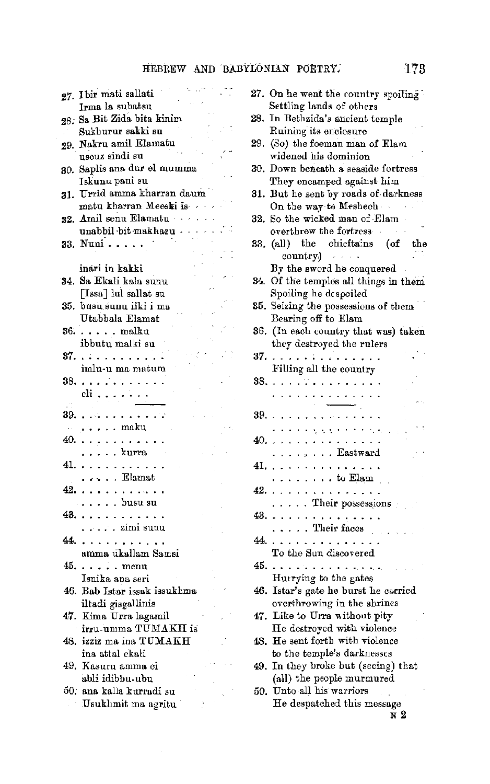$\mathcal{L}^{(1)}$ 

 $\mathcal{O}(\mathcal{E})$ 

|       | $\cdots$<br>27. Ibir mati sallati                  |  |
|-------|----------------------------------------------------|--|
|       | Irma la subatsu                                    |  |
|       | 28. Sa Bit Zida bita kinim                         |  |
|       | Sukhurur sakki su                                  |  |
| 29.   | Nakru amil Elamatu                                 |  |
|       | useuz sindi su                                     |  |
|       | 30. Saplis ana dur el mumma                        |  |
|       | Iskunu pani su                                     |  |
| 31.   | Urrid amma kharran daum                            |  |
|       | matu kharran Meeski is .                           |  |
| 32.   | Amil senu Elamatu                                  |  |
|       | unabbil bit makhazu                                |  |
| 33.   | Nuni<br>$\ddot{\phantom{0}}$                       |  |
|       |                                                    |  |
|       | inari in kakki                                     |  |
| 34.   | Sa Ekali kala sunu                                 |  |
|       | [Issa] lul sallat su                               |  |
|       |                                                    |  |
| 35.   | busu sunu ilki i ma                                |  |
|       | Utabbala Elamat                                    |  |
| 36.   | $\cdots$ . malku                                   |  |
|       | ibbutu malki su                                    |  |
| 37.   | .                                                  |  |
|       | imlu-u ma matum                                    |  |
| 38.   | . <sup>.</sup>                                     |  |
|       | cli                                                |  |
| 39. . |                                                    |  |
|       | $\alpha$ is a second second second second $\alpha$ |  |
| 40.   | . <i>.</i> maku                                    |  |
|       | .<br>$\ldots$ kurra                                |  |
|       |                                                    |  |
|       | 41.                                                |  |
|       | . Elamat<br>a kara                                 |  |
|       | 42.                                                |  |
|       | . busu su                                          |  |
|       | 43.<br>.                                           |  |
|       | . zimi sunu                                        |  |
|       | 44.<br>$\cdot$                                     |  |
|       | amma ukallam Samsi                                 |  |
| 45.   | $\ldots \ldots$ menu                               |  |
|       | Isnika ana seri                                    |  |
|       | 46. Bab Istar issak issukhma                       |  |
|       | iltadi gisgallinis                                 |  |
| 47.   | Kima Urra lagamil                                  |  |
|       | irru-umma TUMAKH is                                |  |
|       | 48. izziz ma ina TUMAKH                            |  |
|       | ina attal ekali                                    |  |
| 49.   | Kasuru amma ci                                     |  |
|       | abli idibbu ubu                                    |  |
|       | 50. ana kalla kurradi su                           |  |
|       | Usukhmit ma agritu                                 |  |

| 27.<br>On he went the country spoiling<br>Settling lands of others |
|--------------------------------------------------------------------|
| In Bethzida's ancient temple<br>28.                                |
| Ruining its enclosure                                              |
| 29.<br>(So) the foeman man of Elam                                 |
| widened his dominion                                               |
| Down beneath a seaside fortress<br>30.                             |
| They encamped against him                                          |
| But he sent by roads of darkness<br>31.<br>On the way to Meshech   |
| So the wicked man of Elam<br>32.                                   |
| overthrew the fortress                                             |
| (all) the chieftains<br>$(\text{of}$<br>33.<br>$_{\rm the}$        |
| country.)<br>$\alpha = \alpha = 1-\alpha$                          |
| By the sword he conquered                                          |
| Of the temples all things in them<br>34.                           |
| Spoiling he despoiled<br>35. Seizing the possessions of them       |
| Bearing off to Elam                                                |
| (In each country that was) taken<br>36.                            |
| they destroyed the rulers                                          |
| . <del>.</del><br>37.                                              |
| Filling all the country                                            |
| 33.<br>وبالمعاملة لأباء                                            |
| . . <b>.</b>                                                       |
| 39.<br>$\ddot{\phantom{0}}$<br>.<br>$\bullet$                      |
| 医无力的复数电力的医内的                                                       |
| 40.<br>.                                                           |
| . Eastward                                                         |
| 41.<br>.<br>$\ldots$ to Elam                                       |
| í.<br>42.<br>.<br>المنابذ المنابذ                                  |
| Their possessions                                                  |
| 43.<br>.                                                           |
| $\ldots$ . Their faces                                             |
| 44.<br>. . <i>.</i>                                                |
| To the Sun discovered                                              |
| 45.<br>بمباديه والمتحاولة والمروانية<br>Hurrying to the gates      |
| Istar's gate he burst he carried<br>46.                            |
| overthrowing in the shrines                                        |
| Like to Urra without pity<br>47.                                   |
| He destroyed with violence                                         |
| He sent forth with violence<br>48.                                 |
| to the temple's darknesses                                         |
| In they broke but (seeing) that<br>49.                             |
| (all) the people murmured<br>Unto all his warriors<br>50.          |
| He despatched this message                                         |
| N 2                                                                |
|                                                                    |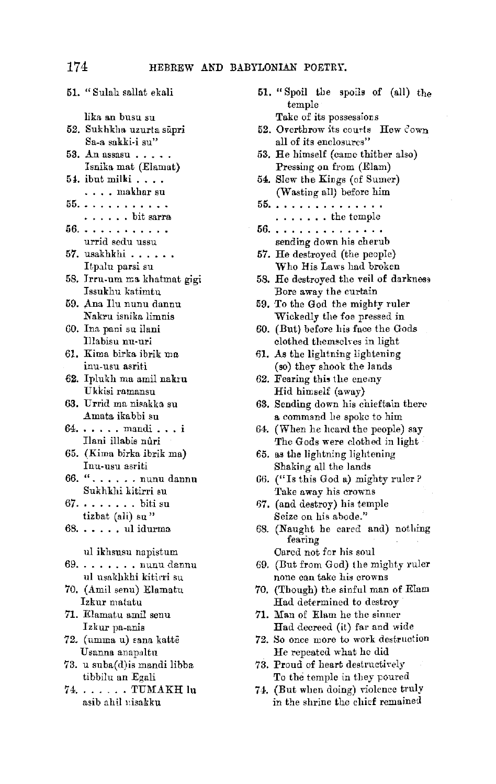51. "Sulah sallat ekali lika an busu su 52. Sukhkha uzurta süpri Sa-a sakki-i su" 53. An assasu  $\ldots$ . Isnika mat (Elamat) 5i. ibut milki .... .... makhar su 55. . . . . . . . . . . . 56. . . . . . . . . . . . .. bit sarra urrid sedu ussu 57. usakhkhi .....• Itpalu parsi su 58. Jrru-um ma khatmat gigi Issukhu katimtu 59. Ana Ilu nunu dannu **N** akru isnika limnis GO. Ina pani su ilani Illabisu nu-nri 61. Kima birka ibrik ma inu-usu asriti **62.** Iplukh ma amil nakrn Ukkisi ramansu 63. Urrid ma nisakka su Amata ikabbi su  $64. \ldots$ , mandi... Ilani illabis nûri 65. (Kima birka ibrik ma) Inu-usu asriti 66. " ..•.•. nunn dannu Sukhkhi kitirri su  $67. \ldots \ldots$ . biti su tizbat (ali) su"  $68. \ldots$ ... ul idurma ul ikhsusu napistum 69 ...••... nunu dannu ul usakhkhi kitirri su 70. (Ami! senu) Elamatu Izkur m atatu 71. Elamatu amil senu Izkur pa-anis 72. (umma u) sana kattē Usanna anapaltu 73. u suba(d)is mandi libba tibbilu an Egali 74. . . . . . . TUMAKH lu asib ahil 1,isakku

51. "Spoil the spoils of  $\text{(all)}$  the temple Take of its possessions

- 52. Overthrow its courts Hew Cown all of its enclosures"
- 53. He himself (came thither also) Pressing on from (Elam)
- 54. Slew the Kings (of Sumer) (Wasting all) before him
- 55. . . . . . . . . . . . . . .
- . ....•. the temple 56. . . . . . . . . . . . . . . . sending down his cherub
- 57. He destroyed (the people) Who His Laws had broken
- 58. He destroyed the veil of darkness Bore away the curtain
- 59. To the God the mighty ruler Wickedly the foe pressed in
- 60. (But) before his face the Gods clothed themselves in light
- 61. As the lightning lightening (so) they shook the lands
- 62. Fearing this the enemy Hid himself (away)
- 63. Sending down his chieftain there a command he spoke to him
- 64. (When he heard the people) say The Gods were clothed in light
- 65. as the lightning lightening Shaking all the lands
- 66. (" Is this God a) mighty ruler ? Take away his crowns
- 67. (and destroy) his temple Seize on his abode."
- 68. (Naught be cared and) nothing fearing Cared not for his soul
- 69. (Ilut from God) the mighty ruler
- none can take his crowns
- 70. (Though) the sinful man of Elam Had determined to destroy
- 71. Man of Elam he the sinner Had decreed (it) far and wide
- 72. So once more to work destruction He repeated what ho did
- 73. Proud of heart destructively To the temple in they poured
- 74. (But when doing) violence truly in the shrine the chief remained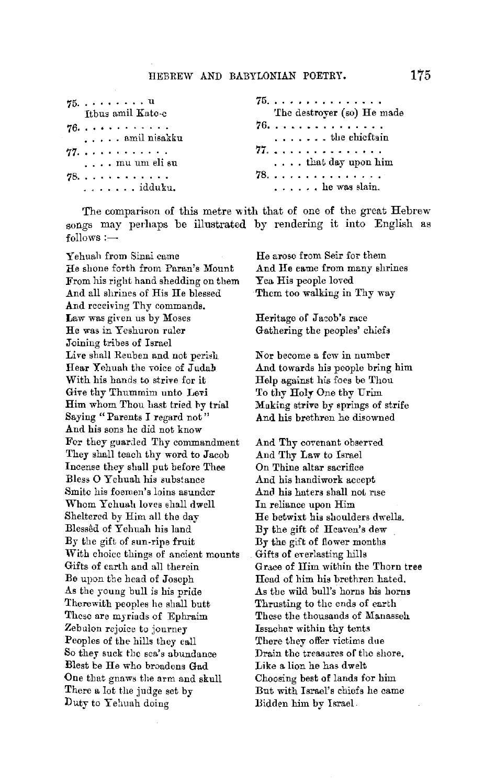| $75. \ldots \ldots u$<br>Itbus amil Kate-e | 75.<br>The destroyer (so) He made |
|--------------------------------------------|-----------------------------------|
| 76.<br>amil nisakku                        | 76.<br>the chieftain              |
| 77.<br>$\ldots$ mu um eli su               | 77.<br>$\ldots$ that day upon him |
| 78.<br>. idduku.                           | 78.<br>$\ldots$ ,  he was slain.  |

The comparison of this metre with that of one of the great Hebrew songs may perhaps be illustrated by rendering it into English as  $follows:$ 

Y ehuah from Sinai came He shone forth from Paran's Mount From his right hand shedding on them And all shrines of His He blessed And receiving Thy commands, Law was given us by Moses He was in Yeshuron ruler Joining tribes of Israel Live shall Reuben and not perish Hear Yehuah the voice of Judab With his hands to strive for it Give thy Thummim uuto Levi Him whom Thou hast tried by trial Saying "Parents I regard not" And his sons he did not know For they guarded Thy commandment They shall teach thy word to Jacob Incense they shall put before Thee Bless O Yehuah his substance Smite his foemen's loins asunder Whom Ychuah loves shall dwell Sheltered by Him all the day Blessed of Yehuah his land By the gift of sun-ripe fruit With choice things of ancient mounts Gifts of earth and all therein Be upon the bead of Joseph As the young bull is his pride Therewith peoples he shall butt These are myriads of Ephraim Zebulon rejoice to journey Peoples of the hills they call So ther suck the sea's abundance Blest be He who broadens Gad One tbat gnaws the arm and skull There a lot the judge set by Duty to Yehuah doing

He arose from Seir for them And He came from many shrines Yea His people loved Them too walking in Thy way

Heritage of Jacob's race Gathering the peoples' chiefs

**Nor** become a fow in number And towards his people bring him Help against his foes be Thou To thy **Holy** One thy Urim Making strive by springs of strife And his brethren he disowned

And Thy covenant observed And Thy Law to Israel On Thine altar sacrifice And his handiwork accept And his haters shall not rise In reliance upon Him He betwixt his shoulders dwells. By the gift of Heaven's dew By the gift of flower months Gifts of everlasting hills Grace of Him within the Thorn tree Head of him his brethren hated. As tbe wild bull's horns his horns Thrusting to the ends of earbh These the thousands of Manasseh Issachar within thy tents There they offer victims due Drain the treasures of the shore. Like a lion he has dwelt Choosing best of lands for him But with Israel's chiefs he came Bidden him by Israel